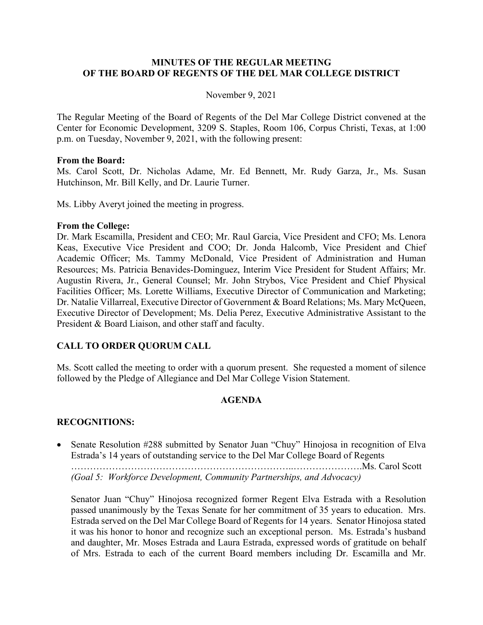### **MINUTES OF THE REGULAR MEETING OF THE BOARD OF REGENTS OF THE DEL MAR COLLEGE DISTRICT**

#### November 9, 2021

The Regular Meeting of the Board of Regents of the Del Mar College District convened at the Center for Economic Development, 3209 S. Staples, Room 106, Corpus Christi, Texas, at 1:00 p.m. on Tuesday, November 9, 2021, with the following present:

#### **From the Board:**

Ms. Carol Scott, Dr. Nicholas Adame, Mr. Ed Bennett, Mr. Rudy Garza, Jr., Ms. Susan Hutchinson, Mr. Bill Kelly, and Dr. Laurie Turner.

Ms. Libby Averyt joined the meeting in progress.

#### **From the College:**

Dr. Mark Escamilla, President and CEO; Mr. Raul Garcia, Vice President and CFO; Ms. Lenora Keas, Executive Vice President and COO; Dr. Jonda Halcomb, Vice President and Chief Academic Officer; Ms. Tammy McDonald, Vice President of Administration and Human Resources; Ms. Patricia Benavides-Dominguez, Interim Vice President for Student Affairs; Mr. Augustin Rivera, Jr., General Counsel; Mr. John Strybos, Vice President and Chief Physical Facilities Officer; Ms. Lorette Williams, Executive Director of Communication and Marketing; Dr. Natalie Villarreal, Executive Director of Government & Board Relations; Ms. Mary McQueen, Executive Director of Development; Ms. Delia Perez, Executive Administrative Assistant to the President & Board Liaison, and other staff and faculty.

### **CALL TO ORDER QUORUM CALL**

Ms. Scott called the meeting to order with a quorum present. She requested a moment of silence followed by the Pledge of Allegiance and Del Mar College Vision Statement.

### **AGENDA**

### **RECOGNITIONS:**

• Senate Resolution #288 submitted by Senator Juan "Chuy" Hinojosa in recognition of Elva Estrada's 14 years of outstanding service to the Del Mar College Board of Regents

……………………………………………………………..………………….Ms. Carol Scott *(Goal 5: Workforce Development, Community Partnerships, and Advocacy)*

Senator Juan "Chuy" Hinojosa recognized former Regent Elva Estrada with a Resolution passed unanimously by the Texas Senate for her commitment of 35 years to education. Mrs. Estrada served on the Del Mar College Board of Regents for 14 years. Senator Hinojosa stated it was his honor to honor and recognize such an exceptional person. Ms. Estrada's husband and daughter, Mr. Moses Estrada and Laura Estrada, expressed words of gratitude on behalf of Mrs. Estrada to each of the current Board members including Dr. Escamilla and Mr.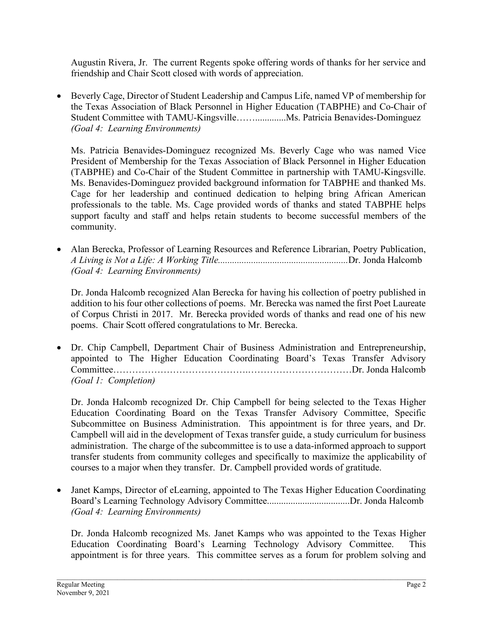Augustin Rivera, Jr. The current Regents spoke offering words of thanks for her service and friendship and Chair Scott closed with words of appreciation.

• Beverly Cage, Director of Student Leadership and Campus Life, named VP of membership for the Texas Association of Black Personnel in Higher Education (TABPHE) and Co-Chair of Student Committee with TAMU-Kingsville…….............Ms. Patricia Benavides-Dominguez *(Goal 4: Learning Environments)*

Ms. Patricia Benavides-Dominguez recognized Ms. Beverly Cage who was named Vice President of Membership for the Texas Association of Black Personnel in Higher Education (TABPHE) and Co-Chair of the Student Committee in partnership with TAMU-Kingsville. Ms. Benavides-Dominguez provided background information for TABPHE and thanked Ms. Cage for her leadership and continued dedication to helping bring African American professionals to the table. Ms. Cage provided words of thanks and stated TABPHE helps support faculty and staff and helps retain students to become successful members of the community.

• Alan Berecka, Professor of Learning Resources and Reference Librarian, Poetry Publication, *A Living is Not a Life: A Working Title.......................................................*Dr. Jonda Halcomb *(Goal 4: Learning Environments)*

Dr. Jonda Halcomb recognized Alan Berecka for having his collection of poetry published in addition to his four other collections of poems. Mr. Berecka was named the first Poet Laureate of Corpus Christi in 2017. Mr. Berecka provided words of thanks and read one of his new poems. Chair Scott offered congratulations to Mr. Berecka.

• Dr. Chip Campbell, Department Chair of Business Administration and Entrepreneurship, appointed to The Higher Education Coordinating Board's Texas Transfer Advisory Committee…………………………………….……………………………Dr. Jonda Halcomb *(Goal 1: Completion)*

Dr. Jonda Halcomb recognized Dr. Chip Campbell for being selected to the Texas Higher Education Coordinating Board on the Texas Transfer Advisory Committee, Specific Subcommittee on Business Administration. This appointment is for three years, and Dr. Campbell will aid in the development of Texas transfer guide, a study curriculum for business administration. The charge of the subcommittee is to use a data-informed approach to support transfer students from community colleges and specifically to maximize the applicability of courses to a major when they transfer. Dr. Campbell provided words of gratitude.

• Janet Kamps, Director of eLearning, appointed to The Texas Higher Education Coordinating Board's Learning Technology Advisory Committee...................................Dr. Jonda Halcomb *(Goal 4: Learning Environments)*

Dr. Jonda Halcomb recognized Ms. Janet Kamps who was appointed to the Texas Higher Education Coordinating Board's Learning Technology Advisory Committee. This appointment is for three years. This committee serves as a forum for problem solving and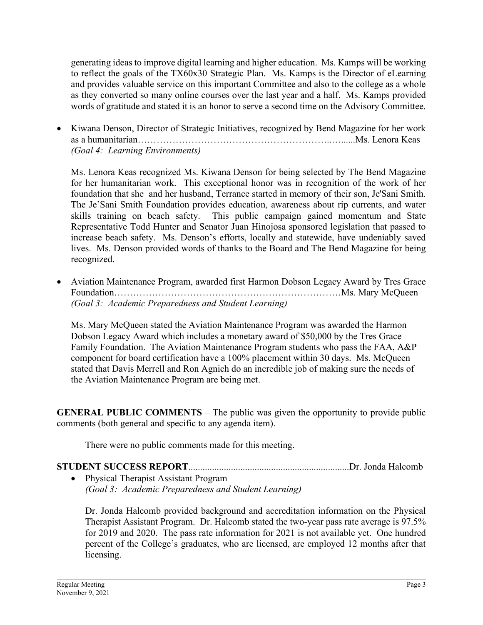generating ideas to improve digital learning and higher education. Ms. Kamps will be working to reflect the goals of the TX60x30 Strategic Plan. Ms. Kamps is the Director of eLearning and provides valuable service on this important Committee and also to the college as a whole as they converted so many online courses over the last year and a half. Ms. Kamps provided words of gratitude and stated it is an honor to serve a second time on the Advisory Committee.

• Kiwana Denson, Director of Strategic Initiatives, recognized by Bend Magazine for her work as a humanitarian……………………………………………………..…......Ms. Lenora Keas *(Goal 4: Learning Environments)*

Ms. Lenora Keas recognized Ms. Kiwana Denson for being selected by The Bend Magazine for her humanitarian work. This exceptional honor was in recognition of the work of her foundation that she and her husband, Terrance started in memory of their son, Je'Sani Smith. The Je'Sani Smith Foundation provides education, awareness about rip currents, and water skills training on beach safety. This public campaign gained momentum and State Representative Todd Hunter and Senator Juan Hinojosa sponsored legislation that passed to increase beach safety. Ms. Denson's efforts, locally and statewide, have undeniably saved lives. Ms. Denson provided words of thanks to the Board and The Bend Magazine for being recognized.

• Aviation Maintenance Program, awarded first Harmon Dobson Legacy Award by Tres Grace Foundation………………………………………………………………Ms. Mary McQueen *(Goal 3: Academic Preparedness and Student Learning)*

Ms. Mary McQueen stated the Aviation Maintenance Program was awarded the Harmon Dobson Legacy Award which includes a monetary award of \$50,000 by the Tres Grace Family Foundation. The Aviation Maintenance Program students who pass the FAA, A&P component for board certification have a 100% placement within 30 days. Ms. McQueen stated that Davis Merrell and Ron Agnich do an incredible job of making sure the needs of the Aviation Maintenance Program are being met.

**GENERAL PUBLIC COMMENTS** – The public was given the opportunity to provide public comments (both general and specific to any agenda item).

There were no public comments made for this meeting.

### **STUDENT SUCCESS REPORT**....................................................................Dr. Jonda Halcomb • Physical Therapist Assistant Program

*(Goal 3: Academic Preparedness and Student Learning)*

Dr. Jonda Halcomb provided background and accreditation information on the Physical Therapist Assistant Program. Dr. Halcomb stated the two-year pass rate average is 97.5% for 2019 and 2020. The pass rate information for 2021 is not available yet. One hundred percent of the College's graduates, who are licensed, are employed 12 months after that licensing.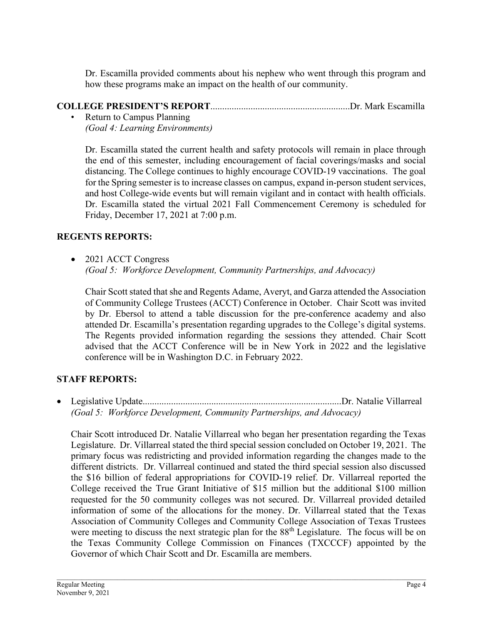Dr. Escamilla provided comments about his nephew who went through this program and how these programs make an impact on the health of our community.

## **COLLEGE PRESIDENT'S REPORT**...........................................................Dr. Mark Escamilla

• Return to Campus Planning *(Goal 4: Learning Environments)*

Dr. Escamilla stated the current health and safety protocols will remain in place through the end of this semester, including encouragement of facial coverings/masks and social distancing. The College continues to highly encourage COVID-19 vaccinations. The goal for the Spring semester is to increase classes on campus, expand in-person student services, and host College-wide events but will remain vigilant and in contact with health officials. Dr. Escamilla stated the virtual 2021 Fall Commencement Ceremony is scheduled for Friday, December 17, 2021 at 7:00 p.m.

# **REGENTS REPORTS:**

• 2021 ACCT Congress *(Goal 5: Workforce Development, Community Partnerships, and Advocacy)*

Chair Scott stated that she and Regents Adame, Averyt, and Garza attended the Association of Community College Trustees (ACCT) Conference in October. Chair Scott was invited by Dr. Ebersol to attend a table discussion for the pre-conference academy and also attended Dr. Escamilla's presentation regarding upgrades to the College's digital systems. The Regents provided information regarding the sessions they attended. Chair Scott advised that the ACCT Conference will be in New York in 2022 and the legislative conference will be in Washington D.C. in February 2022.

# **STAFF REPORTS:**

• Legislative Update....................................................................................Dr. Natalie Villarreal *(Goal 5: Workforce Development, Community Partnerships, and Advocacy)*

Chair Scott introduced Dr. Natalie Villarreal who began her presentation regarding the Texas Legislature. Dr. Villarreal stated the third special session concluded on October 19, 2021. The primary focus was redistricting and provided information regarding the changes made to the different districts. Dr. Villarreal continued and stated the third special session also discussed the \$16 billion of federal appropriations for COVID-19 relief. Dr. Villarreal reported the College received the True Grant Initiative of \$15 million but the additional \$100 million requested for the 50 community colleges was not secured. Dr. Villarreal provided detailed information of some of the allocations for the money. Dr. Villarreal stated that the Texas Association of Community Colleges and Community College Association of Texas Trustees were meeting to discuss the next strategic plan for the 88<sup>th</sup> Legislature. The focus will be on the Texas Community College Commission on Finances (TXCCCF) appointed by the Governor of which Chair Scott and Dr. Escamilla are members.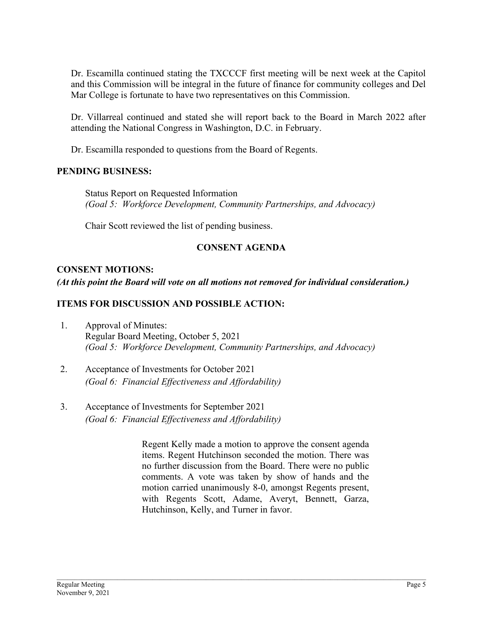Dr. Escamilla continued stating the TXCCCF first meeting will be next week at the Capitol and this Commission will be integral in the future of finance for community colleges and Del Mar College is fortunate to have two representatives on this Commission.

Dr. Villarreal continued and stated she will report back to the Board in March 2022 after attending the National Congress in Washington, D.C. in February.

Dr. Escamilla responded to questions from the Board of Regents.

### **PENDING BUSINESS:**

Status Report on Requested Information *(Goal 5: Workforce Development, Community Partnerships, and Advocacy)*

Chair Scott reviewed the list of pending business.

## **CONSENT AGENDA**

## **CONSENT MOTIONS:**

*(At this point the Board will vote on all motions not removed for individual consideration.)* 

## **ITEMS FOR DISCUSSION AND POSSIBLE ACTION:**

- 1. Approval of Minutes: Regular Board Meeting, October 5, 2021 *(Goal 5: Workforce Development, Community Partnerships, and Advocacy)*
- 2. Acceptance of Investments for October 2021 *(Goal 6: Financial Effectiveness and Affordability)*
- 3. Acceptance of Investments for September 2021 *(Goal 6: Financial Effectiveness and Affordability)*

Regent Kelly made a motion to approve the consent agenda items. Regent Hutchinson seconded the motion. There was no further discussion from the Board. There were no public comments. A vote was taken by show of hands and the motion carried unanimously 8-0, amongst Regents present, with Regents Scott, Adame, Averyt, Bennett, Garza, Hutchinson, Kelly, and Turner in favor.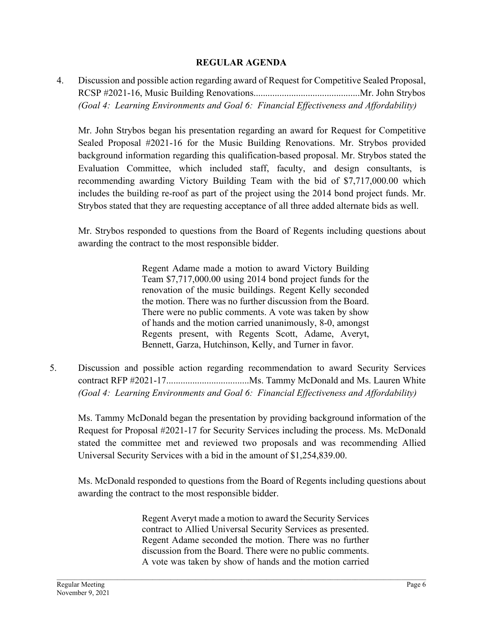### **REGULAR AGENDA**

4. Discussion and possible action regarding award of Request for Competitive Sealed Proposal, RCSP #2021-16, Music Building Renovations.............................................Mr. John Strybos *(Goal 4: Learning Environments and Goal 6: Financial Effectiveness and Affordability)*

Mr. John Strybos began his presentation regarding an award for Request for Competitive Sealed Proposal #2021-16 for the Music Building Renovations. Mr. Strybos provided background information regarding this qualification-based proposal. Mr. Strybos stated the Evaluation Committee, which included staff, faculty, and design consultants, is recommending awarding Victory Building Team with the bid of \$7,717,000.00 which includes the building re-roof as part of the project using the 2014 bond project funds. Mr. Strybos stated that they are requesting acceptance of all three added alternate bids as well.

Mr. Strybos responded to questions from the Board of Regents including questions about awarding the contract to the most responsible bidder.

> Regent Adame made a motion to award Victory Building Team \$7,717,000.00 using 2014 bond project funds for the renovation of the music buildings. Regent Kelly seconded the motion. There was no further discussion from the Board. There were no public comments. A vote was taken by show of hands and the motion carried unanimously, 8-0, amongst Regents present, with Regents Scott, Adame, Averyt, Bennett, Garza, Hutchinson, Kelly, and Turner in favor.

5. Discussion and possible action regarding recommendation to award Security Services contract RFP #2021-17...................................Ms. Tammy McDonald and Ms. Lauren White *(Goal 4: Learning Environments and Goal 6: Financial Effectiveness and Affordability)*

Ms. Tammy McDonald began the presentation by providing background information of the Request for Proposal #2021-17 for Security Services including the process. Ms. McDonald stated the committee met and reviewed two proposals and was recommending Allied Universal Security Services with a bid in the amount of \$1,254,839.00.

Ms. McDonald responded to questions from the Board of Regents including questions about awarding the contract to the most responsible bidder.

> Regent Averyt made a motion to award the Security Services contract to Allied Universal Security Services as presented. Regent Adame seconded the motion. There was no further discussion from the Board. There were no public comments. A vote was taken by show of hands and the motion carried